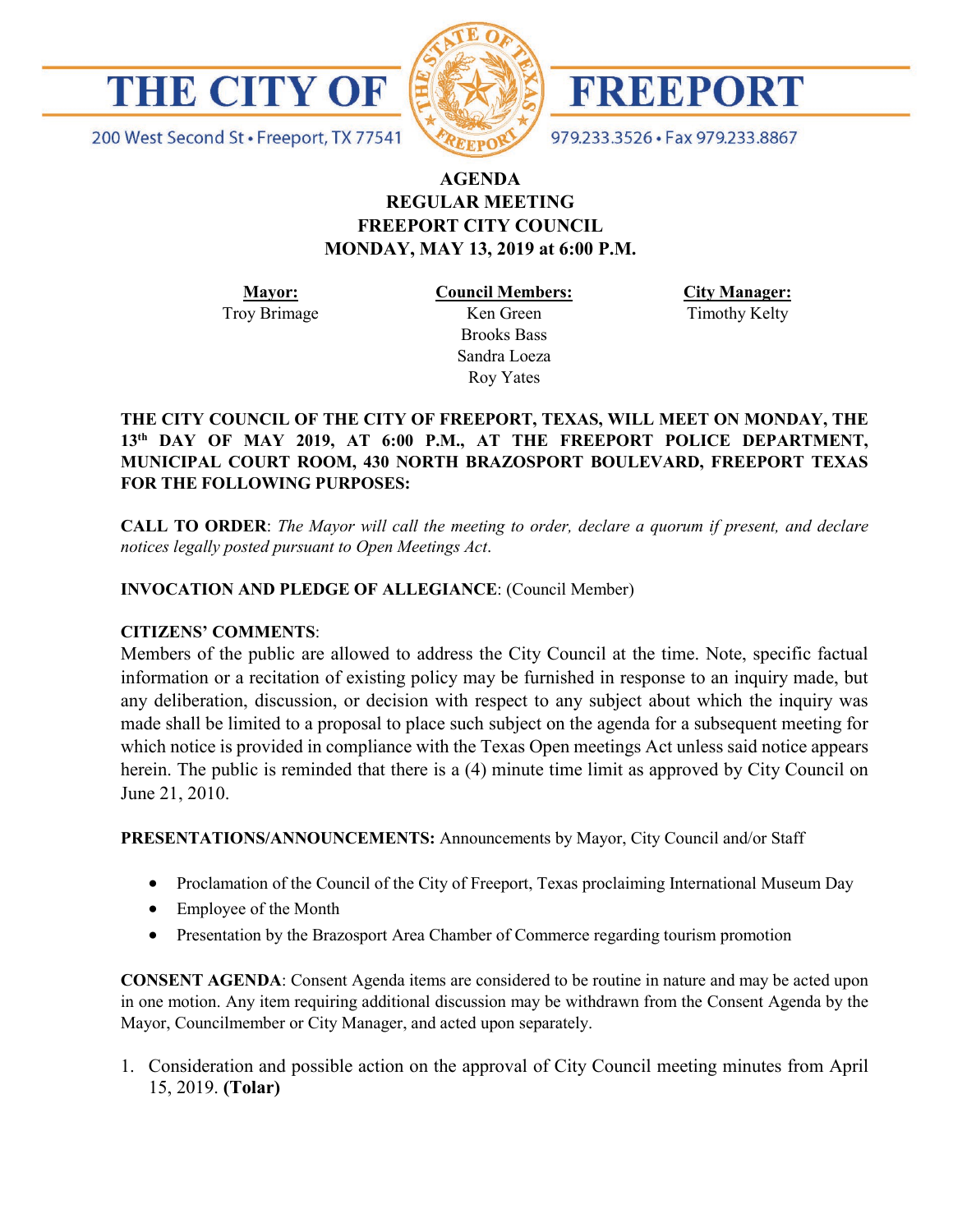

200 West Second St · Freeport, TX 77541





979.233.3526 · Fax 979.233.8867

# **AGENDA REGULAR MEETING FREEPORT CITY COUNCIL MONDAY, MAY 13, 2019 at 6:00 P.M.**

**Mayor:** Troy Brimage **Council Members:** Ken Green Brooks Bass Sandra Loeza Roy Yates

**City Manager:** Timothy Kelty

# **THE CITY COUNCIL OF THE CITY OF FREEPORT, TEXAS, WILL MEET ON MONDAY, THE 13th DAY OF MAY 2019, AT 6:00 P.M., AT THE FREEPORT POLICE DEPARTMENT, MUNICIPAL COURT ROOM, 430 NORTH BRAZOSPORT BOULEVARD, FREEPORT TEXAS FOR THE FOLLOWING PURPOSES:**

**CALL TO ORDER**: *The Mayor will call the meeting to order, declare a quorum if present, and declare notices legally posted pursuant to Open Meetings Act*.

# **INVOCATION AND PLEDGE OF ALLEGIANCE**: (Council Member)

#### **CITIZENS' COMMENTS**:

Members of the public are allowed to address the City Council at the time. Note, specific factual information or a recitation of existing policy may be furnished in response to an inquiry made, but any deliberation, discussion, or decision with respect to any subject about which the inquiry was made shall be limited to a proposal to place such subject on the agenda for a subsequent meeting for which notice is provided in compliance with the Texas Open meetings Act unless said notice appears herein. The public is reminded that there is a (4) minute time limit as approved by City Council on June 21, 2010.

**PRESENTATIONS/ANNOUNCEMENTS:** Announcements by Mayor, City Council and/or Staff

- Proclamation of the Council of the City of Freeport, Texas proclaiming International Museum Day
- Employee of the Month
- Presentation by the Brazosport Area Chamber of Commerce regarding tourism promotion

**CONSENT AGENDA**: Consent Agenda items are considered to be routine in nature and may be acted upon in one motion. Any item requiring additional discussion may be withdrawn from the Consent Agenda by the Mayor, Councilmember or City Manager, and acted upon separately.

1. Consideration and possible action on the approval of City Council meeting minutes from April 15, 2019. **(Tolar)**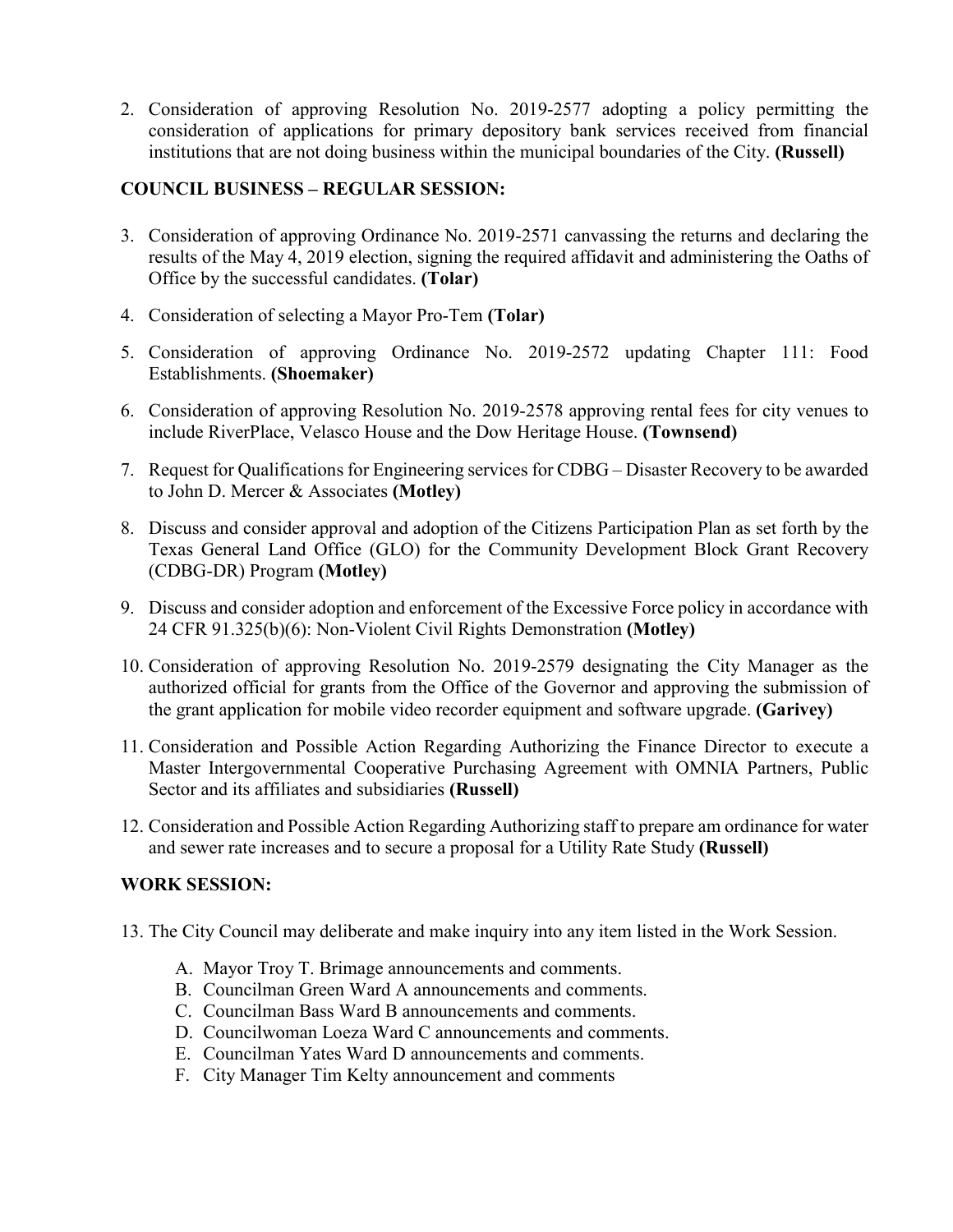2. Consideration of approving Resolution No. 2019-2577 adopting a policy permitting the consideration of applications for primary depository bank services received from financial institutions that are not doing business within the municipal boundaries of the City. **(Russell)**

### **COUNCIL BUSINESS – REGULAR SESSION:**

- 3. Consideration of approving Ordinance No. 2019-2571 canvassing the returns and declaring the results of the May 4, 2019 election, signing the required affidavit and administering the Oaths of Office by the successful candidates. **(Tolar)**
- 4. Consideration of selecting a Mayor Pro-Tem **(Tolar)**
- 5. Consideration of approving Ordinance No. 2019-2572 updating Chapter 111: Food Establishments. **(Shoemaker)**
- 6. Consideration of approving Resolution No. 2019-2578 approving rental fees for city venues to include RiverPlace, Velasco House and the Dow Heritage House. **(Townsend)**
- 7. Request for Qualifications for Engineering services for CDBG Disaster Recovery to be awarded to John D. Mercer & Associates **(Motley)**
- 8. Discuss and consider approval and adoption of the Citizens Participation Plan as set forth by the Texas General Land Office (GLO) for the Community Development Block Grant Recovery (CDBG-DR) Program **(Motley)**
- 9. Discuss and consider adoption and enforcement of the Excessive Force policy in accordance with 24 CFR 91.325(b)(6): Non-Violent Civil Rights Demonstration **(Motley)**
- 10. Consideration of approving Resolution No. 2019-2579 designating the City Manager as the authorized official for grants from the Office of the Governor and approving the submission of the grant application for mobile video recorder equipment and software upgrade. **(Garivey)**
- 11. Consideration and Possible Action Regarding Authorizing the Finance Director to execute a Master Intergovernmental Cooperative Purchasing Agreement with OMNIA Partners, Public Sector and its affiliates and subsidiaries **(Russell)**
- 12. Consideration and Possible Action Regarding Authorizing staff to prepare am ordinance for water and sewer rate increases and to secure a proposal for a Utility Rate Study **(Russell)**

#### **WORK SESSION:**

- 13. The City Council may deliberate and make inquiry into any item listed in the Work Session.
	- A. Mayor Troy T. Brimage announcements and comments.
	- B. Councilman Green Ward A announcements and comments.
	- C. Councilman Bass Ward B announcements and comments.
	- D. Councilwoman Loeza Ward C announcements and comments.
	- E. Councilman Yates Ward D announcements and comments.
	- F. City Manager Tim Kelty announcement and comments